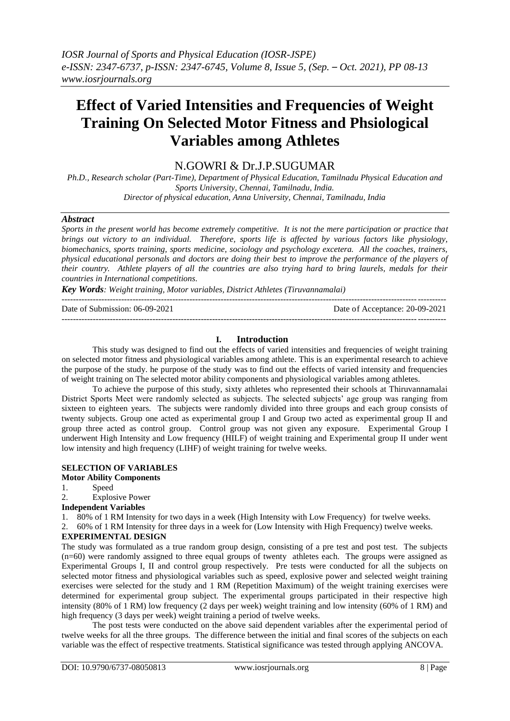# **Effect of Varied Intensities and Frequencies of Weight Training On Selected Motor Fitness and Phsiological Variables among Athletes**

# N.GOWRI & Dr.J.P.SUGUMAR

*Ph.D., Research scholar (Part-Time), Department of Physical Education, Tamilnadu Physical Education and Sports University, Chennai, Tamilnadu, India. Director of physical education, Anna University, Chennai, Tamilnadu, India*

## *Abstract*

*Sports in the present world has become extremely competitive. It is not the mere participation or practice that brings out victory to an individual. Therefore, sports life is affected by various factors like physiology, biomechanics, sports training, sports medicine, sociology and psychology excetera. All the coaches, trainers, physical educational personals and doctors are doing their best to improve the performance of the players of their country. Athlete players of all the countries are also trying hard to bring laurels, medals for their countries in International competitions.*

*Key Words: Weight training, Motor variables, District Athletes (Tiruvannamalai)*

| Date of Submission: 06-09-2021 | Date of Acceptance: 20-09-2021 |
|--------------------------------|--------------------------------|
|                                |                                |

# **I. Introduction**

This study was designed to find out the effects of varied intensities and frequencies of weight training on selected motor fitness and physiological variables among athlete. This is an experimental research to achieve the purpose of the study. he purpose of the study was to find out the effects of varied intensity and frequencies of weight training on The selected motor ability components and physiological variables among athletes.

To achieve the purpose of this study, sixty athletes who represented their schools at Thiruvannamalai District Sports Meet were randomly selected as subjects. The selected subjects' age group was ranging from sixteen to eighteen years. The subjects were randomly divided into three groups and each group consists of twenty subjects. Group one acted as experimental group I and Group two acted as experimental group II and group three acted as control group. Control group was not given any exposure. Experimental Group I underwent High Intensity and Low frequency (HILF) of weight training and Experimental group II under went low intensity and high frequency (LIHF) of weight training for twelve weeks.

# **SELECTION OF VARIABLES**

**Motor Ability Components**

1. Speed

2. Explosive Power

**Independent Variables**

1. 80% of 1 RM Intensity for two days in a week (High Intensity with Low Frequency) for twelve weeks.

2. 60% of 1 RM Intensity for three days in a week for (Low Intensity with High Frequency) twelve weeks.

# **EXPERIMENTAL DESIGN**

The study was formulated as a true random group design, consisting of a pre test and post test. The subjects (n=60) were randomly assigned to three equal groups of twenty athletes each. The groups were assigned as Experimental Groups I, II and control group respectively. Pre tests were conducted for all the subjects on selected motor fitness and physiological variables such as speed, explosive power and selected weight training exercises were selected for the study and 1 RM (Repetition Maximum) of the weight training exercises were determined for experimental group subject. The experimental groups participated in their respective high intensity (80% of 1 RM) low frequency (2 days per week) weight training and low intensity (60% of 1 RM) and high frequency (3 days per week) weight training a period of twelve weeks.

The post tests were conducted on the above said dependent variables after the experimental period of twelve weeks for all the three groups. The difference between the initial and final scores of the subjects on each variable was the effect of respective treatments. Statistical significance was tested through applying ANCOVA.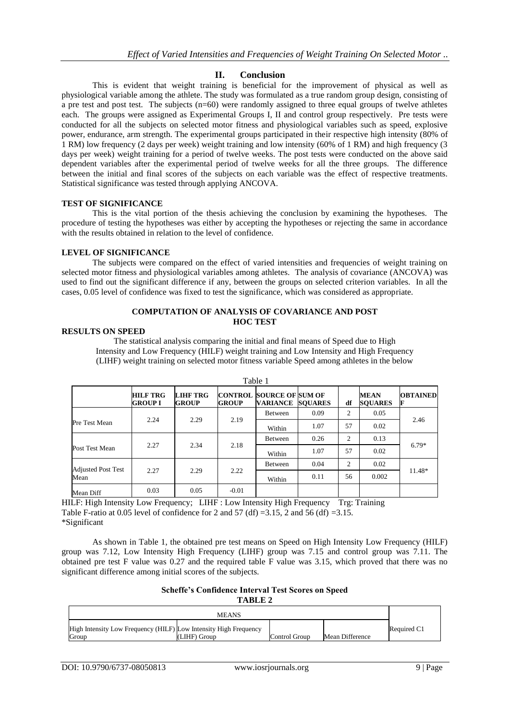# **II. Conclusion**

This is evident that weight training is beneficial for the improvement of physical as well as physiological variable among the athlete. The study was formulated as a true random group design, consisting of a pre test and post test. The subjects (n=60) were randomly assigned to three equal groups of twelve athletes each. The groups were assigned as Experimental Groups I, II and control group respectively. Pre tests were conducted for all the subjects on selected motor fitness and physiological variables such as speed, explosive power, endurance, arm strength. The experimental groups participated in their respective high intensity (80% of 1 RM) low frequency (2 days per week) weight training and low intensity (60% of 1 RM) and high frequency (3 days per week) weight training for a period of twelve weeks. The post tests were conducted on the above said dependent variables after the experimental period of twelve weeks for all the three groups. The difference between the initial and final scores of the subjects on each variable was the effect of respective treatments. Statistical significance was tested through applying ANCOVA.

#### **TEST OF SIGNIFICANCE**

This is the vital portion of the thesis achieving the conclusion by examining the hypotheses. The procedure of testing the hypotheses was either by accepting the hypotheses or rejecting the same in accordance with the results obtained in relation to the level of confidence.

#### **LEVEL OF SIGNIFICANCE**

The subjects were compared on the effect of varied intensities and frequencies of weight training on selected motor fitness and physiological variables among athletes. The analysis of covariance (ANCOVA) was used to find out the significant difference if any, between the groups on selected criterion variables. In all the cases, 0.05 level of confidence was fixed to test the significance, which was considered as appropriate.

#### **COMPUTATION OF ANALYSIS OF COVARIANCE AND POST HOC TEST**

#### **RESULTS ON SPEED**

The statistical analysis comparing the initial and final means of Speed due to High Intensity and Low Frequency (HILF) weight training and Low Intensity and High Frequency (LIHF) weight training on selected motor fitness variable Speed among athletes in the below

|                           |                                   |                                 |              | rabie i                                                    |      |    |                               |                      |
|---------------------------|-----------------------------------|---------------------------------|--------------|------------------------------------------------------------|------|----|-------------------------------|----------------------|
|                           | <b>HILF TRG</b><br><b>GROUP I</b> | <b>LIHF TRG</b><br><b>GROUP</b> | <b>GROUP</b> | <b>CONTROL SOURCE OF SUM OF</b><br><b>VARIANCE SOUARES</b> |      | df | <b>MEAN</b><br><b>SOUARES</b> | <b>OBTAINED</b><br>F |
|                           |                                   |                                 |              | <b>Between</b>                                             | 0.09 | 2  | 0.05                          |                      |
| Pre Test Mean             | 2.24                              | 2.29                            | 2.19         | Within                                                     | 1.07 | 57 | 0.02                          | 2.46                 |
|                           |                                   |                                 |              | Between                                                    | 0.26 | 2  | 0.13                          |                      |
| Post Test Mean            | 2.27                              | 2.34                            | 2.18         | Within                                                     | 1.07 | 57 | 0.02                          | $6.79*$              |
| <b>Adjusted Post Test</b> |                                   |                                 |              | Between                                                    | 0.04 | 2  | 0.02                          |                      |
| Mean                      | 2.27                              | 2.29                            | 2.22         | Within                                                     | 0.11 | 56 | 0.002                         | 11.48*               |
| Mean Diff                 | 0.03                              | 0.05                            | $-0.01$      |                                                            |      |    |                               |                      |

 $T = 1.1 - 1$ 

HILF: High Intensity Low Frequency; LIHF : Low Intensity High Frequency Trg: Training Table F-ratio at 0.05 level of confidence for 2 and 57 (df) =3.15, 2 and 56 (df) =3.15. \*Significant

As shown in Table 1, the obtained pre test means on Speed on High Intensity Low Frequency (HILF) group was 7.12, Low Intensity High Frequency (LIHF) group was 7.15 and control group was 7.11. The obtained pre test F value was 0.27 and the required table F value was 3.15, which proved that there was no significant difference among initial scores of the subjects.

#### **Scheffe's Confidence Interval Test Scores on Speed TABLE 2**

| <b>MEANS</b>                                                     |              |               |                 |             |  |  |
|------------------------------------------------------------------|--------------|---------------|-----------------|-------------|--|--|
| High Intensity Low Frequency (HILF) Low Intensity High Frequency |              |               |                 | Required C1 |  |  |
| Group                                                            | (LIHF) Group | Control Group | Mean Difference |             |  |  |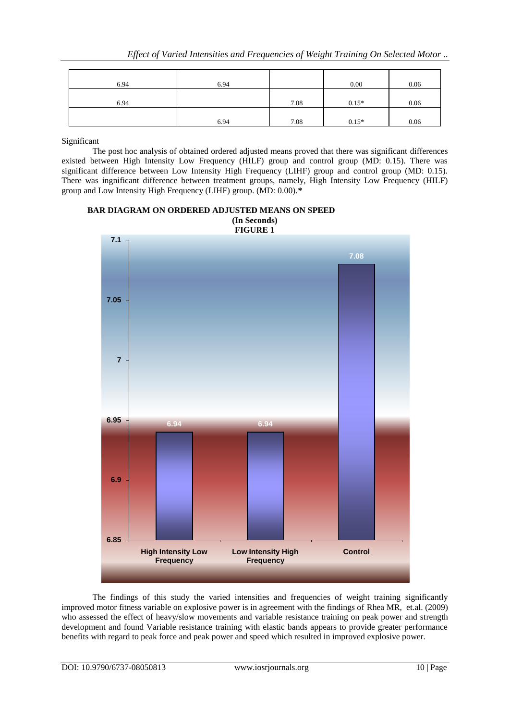| 6.94 | 6.94 |      | 0.00    | 0.06 |
|------|------|------|---------|------|
| 6.94 |      | 7.08 | $0.15*$ | 0.06 |
|      | 6.94 | 7.08 | $0.15*$ | 0.06 |

Significant

The post hoc analysis of obtained ordered adjusted means proved that there was significant differences existed between High Intensity Low Frequency (HILF) group and control group (MD: 0.15). There was significant difference between Low Intensity High Frequency (LIHF) group and control group (MD: 0.15). There was ingnificant difference between treatment groups, namely, High Intensity Low Frequency (HILF) group and Low Intensity High Frequency (LIHF) group. (MD: 0.00).**\***

# **BAR DIAGRAM ON ORDERED ADJUSTED MEANS ON SPEED (In Seconds)**



The findings of this study the varied intensities and frequencies of weight training significantly improved motor fitness variable on explosive power is in agreement with the findings of Rhea MR, et.al. (2009) who assessed the effect of heavy/slow movements and variable resistance training on peak power and strength development and found Variable resistance training with elastic bands appears to provide greater performance benefits with regard to peak force and peak power and speed which resulted in improved explosive power.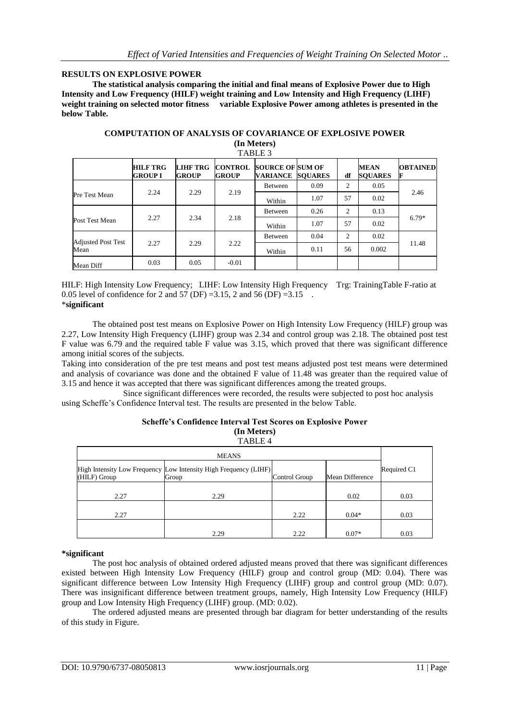## **RESULTS ON EXPLOSIVE POWER**

**The statistical analysis comparing the initial and final means of Explosive Power due to High Intensity and Low Frequency (HILF) weight training and Low Intensity and High Frequency (LIHF)**  weight training on selected motor fitness variable Explosive Power among athletes is presented in the **below Table.**

| <b>COMPUTATION OF ANALYSIS OF COVARIANCE OF EXPLOSIVE POWER</b> |  |  |  |  |  |  |
|-----------------------------------------------------------------|--|--|--|--|--|--|
| (In Meters)                                                     |  |  |  |  |  |  |
| $- - - - - -$                                                   |  |  |  |  |  |  |

|                           | <b>HILF TRG</b><br>GROUP I | <b>LIHF TRG</b><br><b>GROUP</b> | <b>CONTROL</b><br><b>GROUP</b> | <b>SOURCE OF SUM OF</b><br>VARIANCE | <b>SOUARES</b> | df             | MEAN<br><b>SOUARES</b> | <b>OBTAINED</b> |
|---------------------------|----------------------------|---------------------------------|--------------------------------|-------------------------------------|----------------|----------------|------------------------|-----------------|
|                           |                            |                                 |                                | Between                             | 0.09           | $\overline{2}$ | 0.05                   |                 |
| <b>Pre Test Mean</b>      | 2.24                       | 2.29                            | 2.19                           | Within                              | 1.07           | 57             | 0.02                   | 2.46            |
|                           |                            |                                 |                                | <b>Between</b>                      | 0.26           | $\overline{c}$ | 0.13                   |                 |
| Post Test Mean            | 2.27                       | 2.34                            | 2.18                           | Within                              | 1.07           | 57             | 0.02                   | $6.79*$         |
| <b>Adjusted Post Test</b> |                            |                                 |                                | Between                             | 0.04           | $\overline{c}$ | 0.02                   |                 |
| Mean                      | 2.27                       | 2.29                            | 2.22                           | Within                              | 0.11           | 56             | 0.002                  | 11.48           |
| Mean Diff                 | 0.03                       | 0.05                            | $-0.01$                        |                                     |                |                |                        |                 |

HILF: High Intensity Low Frequency; LIHF: Low Intensity High Frequency Trg: TrainingTable F-ratio at 0.05 level of confidence for 2 and 57 (DF) =3.15, 2 and 56 (DF) =3.15. \***significant**

The obtained post test means on Explosive Power on High Intensity Low Frequency (HILF) group was 2.27, Low Intensity High Frequency (LIHF) group was 2.34 and control group was 2.18. The obtained post test F value was 6.79 and the required table F value was 3.15, which proved that there was significant difference among initial scores of the subjects.

Taking into consideration of the pre test means and post test means adjusted post test means were determined and analysis of covariance was done and the obtained F value of 11.48 was greater than the required value of 3.15 and hence it was accepted that there was significant differences among the treated groups.

Since significant differences were recorded, the results were subjected to post hoc analysis using Scheffe's Confidence Interval test. The results are presented in the below Table.

#### **Scheffe's Confidence Interval Test Scores on Explosive Power (In Meters)** TABLE 4

| <b>MEANS</b> |                                                                           |               |                 |             |  |  |  |  |
|--------------|---------------------------------------------------------------------------|---------------|-----------------|-------------|--|--|--|--|
| (HILF) Group | High Intensity Low Frequency Low Intensity High Frequency (LIHF)<br>Group | Control Group | Mean Difference | Required C1 |  |  |  |  |
| 2.27         | 2.29                                                                      |               | 0.02            | 0.03        |  |  |  |  |
| 2.27         |                                                                           | 2.22          | $0.04*$         | 0.03        |  |  |  |  |
|              | 2.29                                                                      | 2.22          | $0.07*$         | 0.03        |  |  |  |  |

#### **\*significant**

The post hoc analysis of obtained ordered adjusted means proved that there was significant differences existed between High Intensity Low Frequency (HILF) group and control group (MD: 0.04). There was significant difference between Low Intensity High Frequency (LIHF) group and control group (MD: 0.07). There was insignificant difference between treatment groups, namely, High Intensity Low Frequency (HILF) group and Low Intensity High Frequency (LIHF) group. (MD: 0.02).

The ordered adjusted means are presented through bar diagram for better understanding of the results of this study in Figure.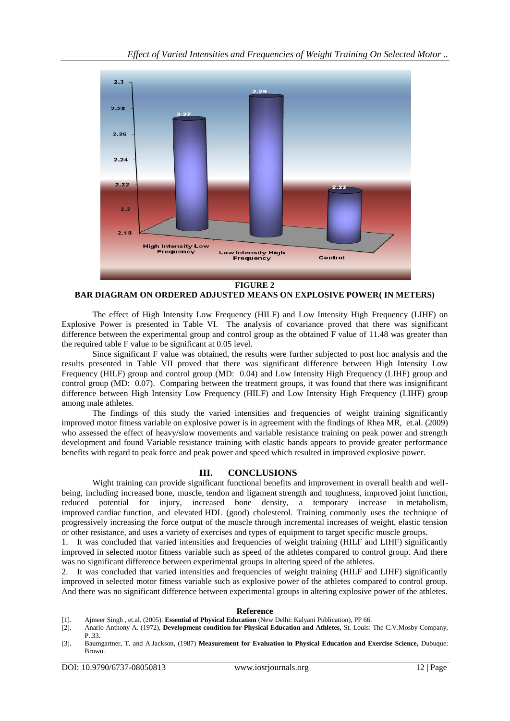

**BAR DIAGRAM ON ORDERED ADJUSTED MEANS ON EXPLOSIVE POWER( IN METERS)**

The effect of High Intensity Low Frequency (HILF) and Low Intensity High Frequency (LIHF) on Explosive Power is presented in Table VI. The analysis of covariance proved that there was significant difference between the experimental group and control group as the obtained F value of 11.48 was greater than the required table F value to be significant at 0.05 level.

Since significant F value was obtained, the results were further subjected to post hoc analysis and the results presented in Table VII proved that there was significant difference between High Intensity Low Frequency (HILF) group and control group (MD: 0.04) and Low Intensity High Frequency (LIHF) group and control group (MD: 0.07). Comparing between the treatment groups, it was found that there was insignificant difference between High Intensity Low Frequency (HILF) and Low Intensity High Frequency (LIHF) group among male athletes.

The findings of this study the varied intensities and frequencies of weight training significantly improved motor fitness variable on explosive power is in agreement with the findings of Rhea MR, et.al. (2009) who assessed the effect of heavy/slow movements and variable resistance training on peak power and strength development and found Variable resistance training with elastic bands appears to provide greater performance benefits with regard to peak force and peak power and speed which resulted in improved explosive power.

# **III. CONCLUSIONS**

Wight training can provide significant functional benefits and improvement in overall health and wellbeing, including increased bone, muscle, tendon and ligament strength and toughness, improved joint function, reduced potential for injury, increased bone density, a temporary increase in metabolism, improved cardiac function, and elevated HDL (good) cholesterol. Training commonly uses the technique of progressively increasing the force output of the muscle through incremental increases of weight, elastic tension or other resistance, and uses a variety of exercises and types of equipment to target specific muscle groups.

1. It was concluded that varied intensities and frequencies of weight training (HILF and LIHF) significantly improved in selected motor fitness variable such as speed of the athletes compared to control group. And there was no significant difference between experimental groups in altering speed of the athletes.

2. It was concluded that varied intensities and frequencies of weight training (HILF and LIHF) significantly improved in selected motor fitness variable such as explosive power of the athletes compared to control group. And there was no significant difference between experimental groups in altering explosive power of the athletes.

#### **Reference**

- [1]. Ajmeer Singh , et.al. (2005). **Essential of Physical Education** (New Delhi: Kalyani Publication), PP 66.
- [2]. Anario Anthony A. (1972), **Development condition for Physical Education and Athletes,** St. Louis: The C.V.Mosby Company, P.33.
- [3]. Baumgartner, T. and A.Jackson, (1987) **Measurement for Evaluation in Physical Education and Exercise Science,** Dubuque: Brown.